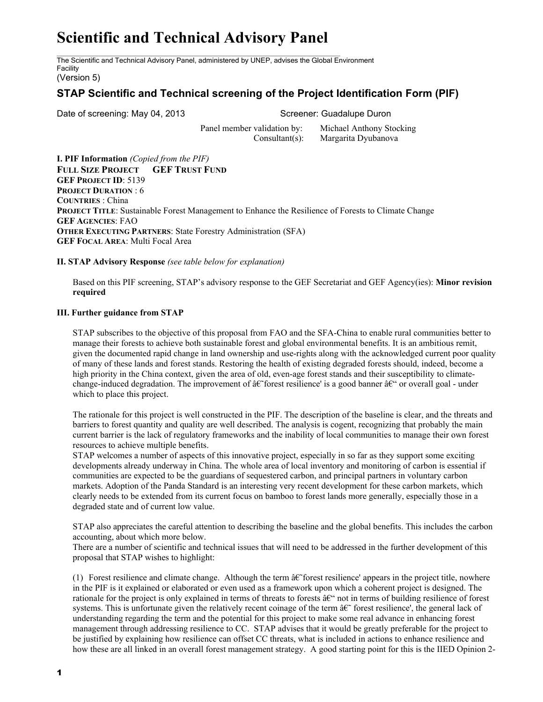## **Scientific and Technical Advisory Panel**

The Scientific and Technical Advisory Panel, administered by UNEP, advises the Global Environment Facility

(Version 5)

## **STAP Scientific and Technical screening of the Project Identification Form (PIF)**

Date of screening: May 04, 2013 Screener: Guadalupe Duron

Panel member validation by: Michael Anthony Stocking Consultant(s): Margarita Dyubanova

**I. PIF Information** *(Copied from the PIF)* **FULL SIZE PROJECT GEF TRUST FUND GEF PROJECT ID**: 5139 **PROJECT DURATION** : 6 **COUNTRIES** : China **PROJECT TITLE**: Sustainable Forest Management to Enhance the Resilience of Forests to Climate Change **GEF AGENCIES**: FAO **OTHER EXECUTING PARTNERS**: State Forestry Administration (SFA) **GEF FOCAL AREA**: Multi Focal Area

**II. STAP Advisory Response** *(see table below for explanation)*

Based on this PIF screening, STAP's advisory response to the GEF Secretariat and GEF Agency(ies): **Minor revision required**

## **III. Further guidance from STAP**

STAP subscribes to the objective of this proposal from FAO and the SFA-China to enable rural communities better to manage their forests to achieve both sustainable forest and global environmental benefits. It is an ambitious remit, given the documented rapid change in land ownership and use-rights along with the acknowledged current poor quality of many of these lands and forest stands. Restoring the health of existing degraded forests should, indeed, become a high priority in the China context, given the area of old, even-age forest stands and their susceptibility to climatechange-induced degradation. The improvement of  $\hat{a} \in \hat{c}$  forest resilience' is a good banner  $\hat{a} \in \hat{c}$  or overall goal - under which to place this project.

The rationale for this project is well constructed in the PIF. The description of the baseline is clear, and the threats and barriers to forest quantity and quality are well described. The analysis is cogent, recognizing that probably the main current barrier is the lack of regulatory frameworks and the inability of local communities to manage their own forest resources to achieve multiple benefits.

STAP welcomes a number of aspects of this innovative project, especially in so far as they support some exciting developments already underway in China. The whole area of local inventory and monitoring of carbon is essential if communities are expected to be the guardians of sequestered carbon, and principal partners in voluntary carbon markets. Adoption of the Panda Standard is an interesting very recent development for these carbon markets, which clearly needs to be extended from its current focus on bamboo to forest lands more generally, especially those in a degraded state and of current low value.

STAP also appreciates the careful attention to describing the baseline and the global benefits. This includes the carbon accounting, about which more below.

There are a number of scientific and technical issues that will need to be addressed in the further development of this proposal that STAP wishes to highlight:

(1) Forest resilience and climate change. Although the term  $\hat{a}\hat{\epsilon}$  forest resilience' appears in the project title, nowhere in the PIF is it explained or elaborated or even used as a framework upon which a coherent project is designed. The rationale for the project is only explained in terms of threats to forests  $\hat{a} \in \hat{\mathbb{C}}$  not in terms of building resilience of forest systems. This is unfortunate given the relatively recent coinage of the term  $\hat{a} \in \hat{f}$  forest resilience', the general lack of understanding regarding the term and the potential for this project to make some real advance in enhancing forest management through addressing resilience to CC. STAP advises that it would be greatly preferable for the project to be justified by explaining how resilience can offset CC threats, what is included in actions to enhance resilience and how these are all linked in an overall forest management strategy. A good starting point for this is the IIED Opinion 2